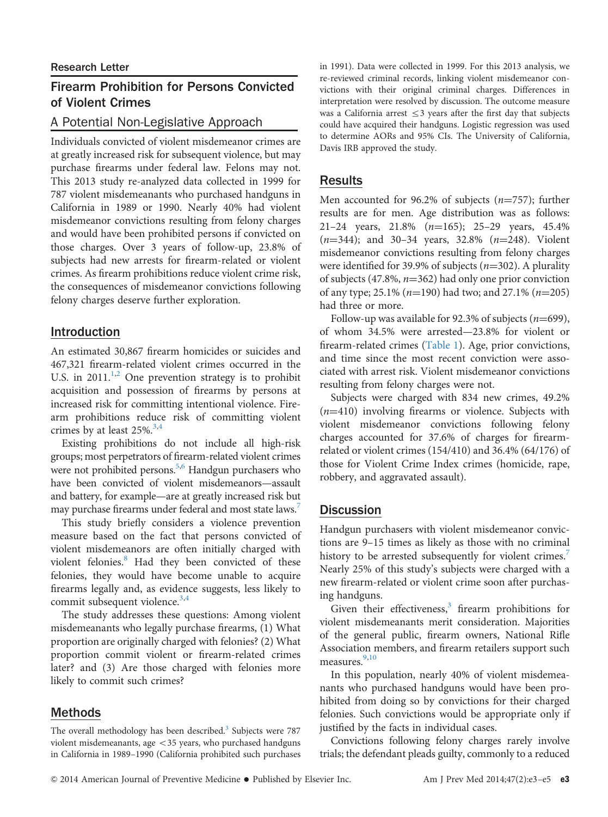# Firearm Prohibition for Persons Convicted of Violent Crimes

# A Potential Non-Legislative Approach

Individuals convicted of violent misdemeanor crimes are at greatly increased risk for subsequent violence, but may purchase firearms under federal law. Felons may not. This 2013 study re-analyzed data collected in 1999 for 787 violent misdemeanants who purchased handguns in California in 1989 or 1990. Nearly 40% had violent misdemeanor convictions resulting from felony charges and would have been prohibited persons if convicted on those charges. Over 3 years of follow-up, 23.8% of subjects had new arrests for firearm-related or violent crimes. As firearm prohibitions reduce violent crime risk, the consequences of misdemeanor convictions following felony charges deserve further exploration.

#### Introduction

An estimated 30,867 firearm homicides or suicides and 467,321 firearm-related violent crimes occurred in the U.S. in 2011.<sup>[1,2](#page-2-0)</sup> One prevention strategy is to prohibit acquisition and possession of firearms by persons at increased risk for committing intentional violence. Firearm prohibitions reduce risk of committing violent crimes by at least  $25\%$ .<sup>[3,4](#page-2-0)</sup>

Existing prohibitions do not include all high-risk groups; most perpetrators of firearm-related violent crimes were not prohibited persons.<sup>5,[6](#page-2-0)</sup> Handgun purchasers who have been convicted of violent misdemeanors—assault and battery, for example—are at greatly increased risk but may purchase firearms under federal and most state laws.<sup>7</sup>

This study briefly considers a violence prevention measure based on the fact that persons convicted of violent misdemeanors are often initially charged with violent felonies.<sup>8</sup> Had they been convicted of these felonies, they would have become unable to acquire firearms legally and, as evidence suggests, less likely to commit subsequent violence.<sup>[3,4](#page-2-0)</sup>

The study addresses these questions: Among violent misdemeanants who legally purchase firearms, (1) What proportion are originally charged with felonies? (2) What proportion commit violent or firearm-related crimes later? and (3) Are those charged with felonies more likely to commit such crimes?

## Methods

The overall methodology has been described. $3$  Subjects were 787 violent misdemeanants, age  $<$  35 years, who purchased handguns in California in 1989–1990 (California prohibited such purchases in 1991). Data were collected in 1999. For this 2013 analysis, we re-reviewed criminal records, linking violent misdemeanor convictions with their original criminal charges. Differences in interpretation were resolved by discussion. The outcome measure was a California arrest  $\leq$ 3 years after the first day that subjects could have acquired their handguns. Logistic regression was used to determine AORs and 95% CIs. The University of California, Davis IRB approved the study.

## Results

Men accounted for 96.2% of subjects ( $n=757$ ); further results are for men. Age distribution was as follows: 21–24 years, 21.8%  $(n=165)$ ; 25–29 years, 45.4%  $(n=344)$ ; and 30-34 years, 32.8%  $(n=248)$ . Violent misdemeanor convictions resulting from felony charges were identified for 39.9% of subjects ( $n=302$ ). A plurality of subjects (47.8%,  $n=362$ ) had only one prior conviction of any type; 25.1% ( $n=190$ ) had two; and 27.1% ( $n=205$ ) had three or more.

Follow-up was available for 92.3% of subjects ( $n=699$ ), of whom 34.5% were arrested—23.8% for violent or firearm-related crimes [\(Table 1\)](#page-1-0). Age, prior convictions, and time since the most recent conviction were associated with arrest risk. Violent misdemeanor convictions resulting from felony charges were not.

Subjects were charged with 834 new crimes, 49.2%  $(n=410)$  involving firearms or violence. Subjects with violent misdemeanor convictions following felony charges accounted for 37.6% of charges for firearmrelated or violent crimes (154/410) and 36.4% (64/176) of those for Violent Crime Index crimes (homicide, rape, robbery, and aggravated assault).

# **Discussion**

Handgun purchasers with violent misdemeanor convictions are 9–15 times as likely as those with no criminal history to be arrested subsequently for violent crimes.<sup>[7](#page-2-0)</sup> Nearly 25% of this study's subjects were charged with a new firearm-related or violent crime soon after purchasing handguns.

Given their effectiveness, $3$  firearm prohibitions for violent misdemeanants merit consideration. Majorities of the general public, firearm owners, National Rifle Association members, and firearm retailers support such measures.<sup>9,10</sup>

In this population, nearly 40% of violent misdemeanants who purchased handguns would have been prohibited from doing so by convictions for their charged felonies. Such convictions would be appropriate only if justified by the facts in individual cases.

Convictions following felony charges rarely involve trials; the defendant pleads guilty, commonly to a reduced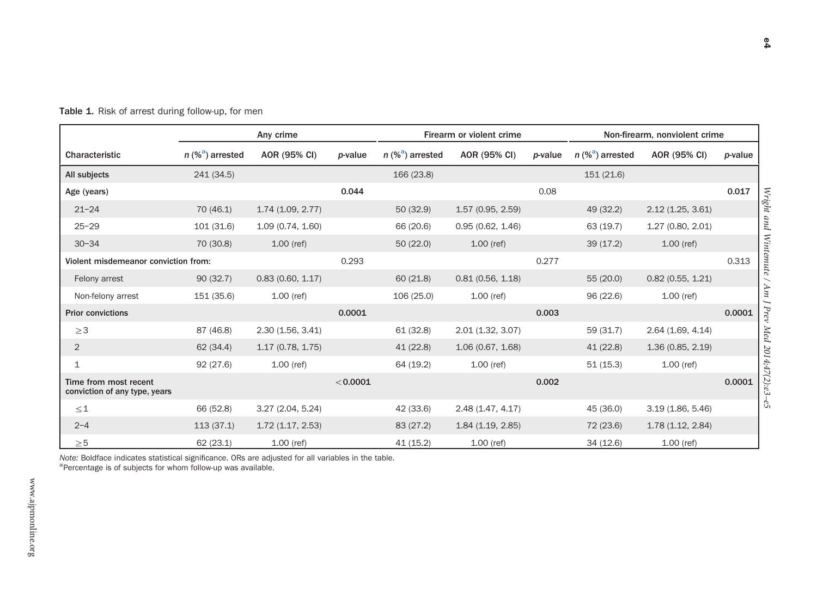|                                                        | Any crime                      |                   |          | Firearm or violent crime       |                   |         | Non-firearm, nonviolent crime  |                   |         |
|--------------------------------------------------------|--------------------------------|-------------------|----------|--------------------------------|-------------------|---------|--------------------------------|-------------------|---------|
| Characteristic                                         | $n$ (% <sup>a</sup> ) arrested | AOR (95% CI)      | p-value  | $n$ (% <sup>a</sup> ) arrested | AOR (95% CI)      | p-value | $n$ (% <sup>a</sup> ) arrested | AOR (95% CI)      | p-value |
| All subjects                                           | 241 (34.5)                     |                   |          | 166 (23.8)                     |                   |         | 151 (21.6)                     |                   |         |
| Age (years)                                            |                                |                   | 0.044    |                                |                   | 0.08    |                                |                   | 0.017   |
| $21 - 24$                                              | 70(46.1)                       | 1.74(1.09, 2.77)  |          | 50(32.9)                       | 1.57(0.95, 2.59)  |         | 49 (32.2)                      | 2.12(1.25, 3.61)  |         |
| $25 - 29$                                              | 101(31.6)                      | 1.09(0.74, 1.60)  |          | 66 (20.6)                      | 0.95(0.62, 1.46)  |         | 63(19.7)                       | 1.27 (0.80, 2.01) |         |
| $30 - 34$                                              | 70 (30.8)                      | $1.00$ (ref)      |          | 50(22.0)                       | $1.00$ (ref)      |         | 39(17.2)                       | $1.00$ (ref)      |         |
| Violent misdemeanor conviction from:                   |                                | 0.293             |          |                                | 0.277             |         |                                | 0.313             |         |
| Felony arrest                                          | 90(32.7)                       | 0.83(0.60, 1.17)  |          | 60(21.8)                       | 0.81(0.56, 1.18)  |         | 55 (20.0)                      | 0.82(0.55, 1.21)  |         |
| Non-felony arrest                                      | 151 (35.6)                     | $1.00$ (ref)      |          | 106 (25.0)                     | $1.00$ (ref)      |         | 96 (22.6)                      | $1.00$ (ref)      |         |
| <b>Prior convictions</b>                               |                                |                   | 0.0001   |                                |                   | 0.003   |                                |                   | 0.0001  |
| $\geq$ 3                                               | 87 (46.8)                      | 2.30(1.56, 3.41)  |          | 61 (32.8)                      | 2.01 (1.32, 3.07) |         | 59 (31.7)                      | 2.64 (1.69, 4.14) |         |
| $\overline{2}$                                         | 62 (34.4)                      | 1.17(0.78, 1.75)  |          | 41 (22.8)                      | 1.06 (0.67, 1.68) |         | 41(22.8)                       | 1.36(0.85, 2.19)  |         |
| 1                                                      | 92(27.6)                       | $1.00$ (ref)      |          | 64 (19.2)                      | $1.00$ (ref)      |         | 51(15.3)                       | $1.00$ (ref)      |         |
| Time from most recent<br>conviction of any type, years |                                |                   | < 0.0001 |                                |                   | 0.002   |                                |                   | 0.0001  |
| $\leq 1$                                               | 66 (52.8)                      | 3.27 (2.04, 5.24) |          | 42 (33.6)                      | 2.48 (1.47, 4.17) |         | 45 (36.0)                      | 3.19(1.86, 5.46)  |         |
| $2 - 4$                                                | 113(37.1)                      | 1.72(1.17, 2.53)  |          | 83 (27.2)                      | 1.84(1.19, 2.85)  |         | 72 (23.6)                      | 1.78(1.12, 2.84)  |         |
| $\geq 5$                                               | 62(23.1)                       | 1.00 (ref)        |          | 41(15.2)                       | $1.00$ (ref)      |         | 34 (12.6)                      | $1.00$ (ref)      |         |

<span id="page-1-0"></span>**Table 1.** Risk of arrest during follow-up, for men

Note: Boldface indicates statistical significance. ORs are adjusted for all variables in the table.

<sup>a</sup>Percentage is of subjects for whom follow-up was available.